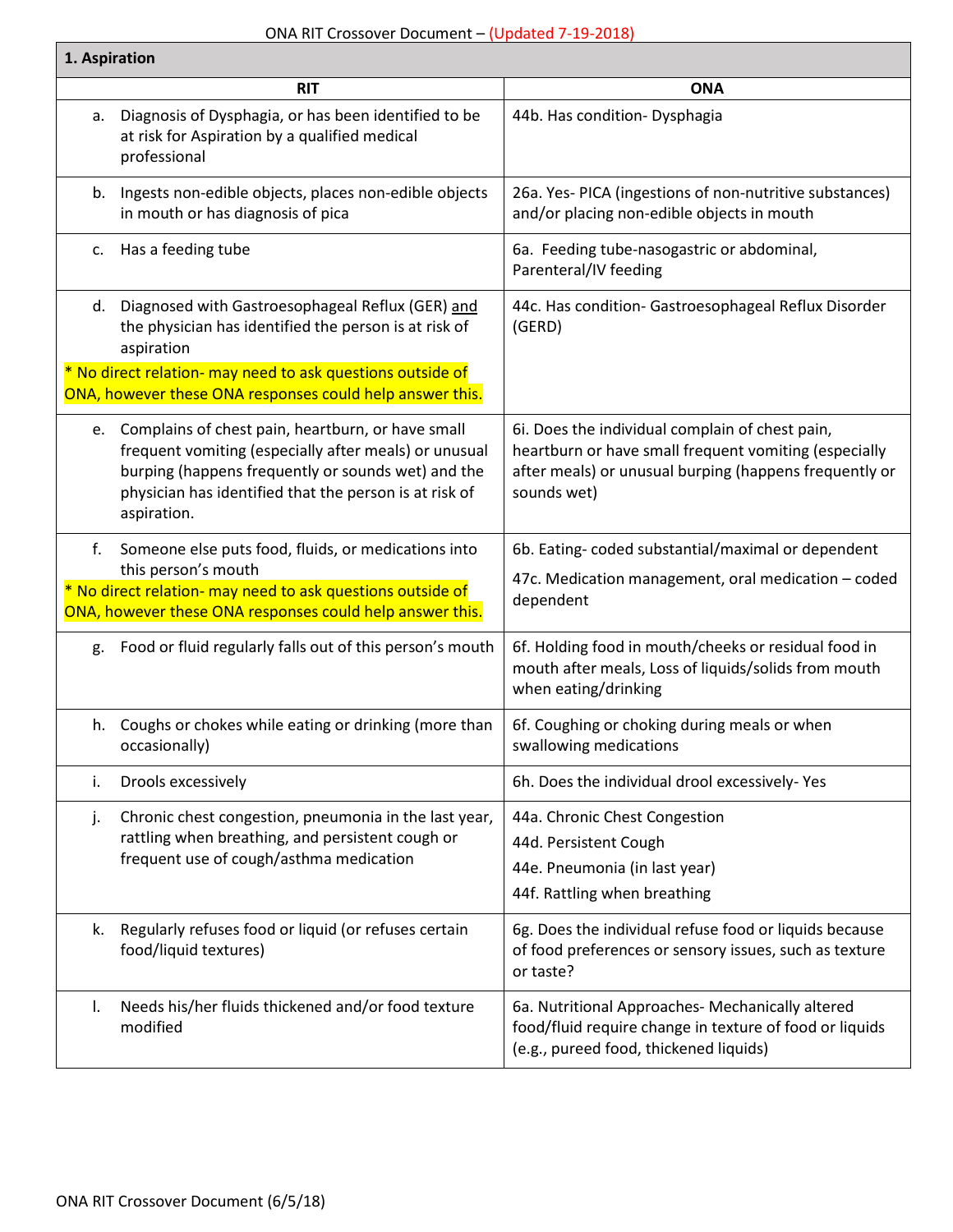## ONA RIT Crossover Document – (Updated 7-19-2018)

| 1. Aspiration                                                                                                                                 |                                                                                                                                                                                                                                              |                                                                                                                                                                                   |
|-----------------------------------------------------------------------------------------------------------------------------------------------|----------------------------------------------------------------------------------------------------------------------------------------------------------------------------------------------------------------------------------------------|-----------------------------------------------------------------------------------------------------------------------------------------------------------------------------------|
|                                                                                                                                               | <b>RIT</b>                                                                                                                                                                                                                                   | <b>ONA</b>                                                                                                                                                                        |
| а.                                                                                                                                            | Diagnosis of Dysphagia, or has been identified to be<br>at risk for Aspiration by a qualified medical<br>professional                                                                                                                        | 44b. Has condition- Dysphagia                                                                                                                                                     |
| b.                                                                                                                                            | Ingests non-edible objects, places non-edible objects<br>in mouth or has diagnosis of pica                                                                                                                                                   | 26a. Yes- PICA (ingestions of non-nutritive substances)<br>and/or placing non-edible objects in mouth                                                                             |
| c.                                                                                                                                            | Has a feeding tube                                                                                                                                                                                                                           | 6a. Feeding tube-nasogastric or abdominal,<br>Parenteral/IV feeding                                                                                                               |
| d.                                                                                                                                            | Diagnosed with Gastroesophageal Reflux (GER) and<br>the physician has identified the person is at risk of<br>aspiration                                                                                                                      | 44c. Has condition- Gastroesophageal Reflux Disorder<br>(GERD)                                                                                                                    |
|                                                                                                                                               | * No direct relation- may need to ask questions outside of<br>ONA, however these ONA responses could help answer this.                                                                                                                       |                                                                                                                                                                                   |
|                                                                                                                                               | e. Complains of chest pain, heartburn, or have small<br>frequent vomiting (especially after meals) or unusual<br>burping (happens frequently or sounds wet) and the<br>physician has identified that the person is at risk of<br>aspiration. | 6i. Does the individual complain of chest pain,<br>heartburn or have small frequent vomiting (especially<br>after meals) or unusual burping (happens frequently or<br>sounds wet) |
| f.                                                                                                                                            | Someone else puts food, fluids, or medications into                                                                                                                                                                                          | 6b. Eating-coded substantial/maximal or dependent                                                                                                                                 |
| this person's mouth<br>* No direct relation- may need to ask questions outside of<br>ONA, however these ONA responses could help answer this. |                                                                                                                                                                                                                                              | 47c. Medication management, oral medication - coded<br>dependent                                                                                                                  |
| g.                                                                                                                                            | Food or fluid regularly falls out of this person's mouth                                                                                                                                                                                     | 6f. Holding food in mouth/cheeks or residual food in<br>mouth after meals, Loss of liquids/solids from mouth<br>when eating/drinking                                              |
|                                                                                                                                               | h. Coughs or chokes while eating or drinking (more than<br>occasionally)                                                                                                                                                                     | 6f. Coughing or choking during meals or when<br>swallowing medications                                                                                                            |
| i.                                                                                                                                            | Drools excessively                                                                                                                                                                                                                           | 6h. Does the individual drool excessively-Yes                                                                                                                                     |
| j.                                                                                                                                            | Chronic chest congestion, pneumonia in the last year,<br>rattling when breathing, and persistent cough or<br>frequent use of cough/asthma medication                                                                                         | 44a. Chronic Chest Congestion<br>44d. Persistent Cough<br>44e. Pneumonia (in last year)<br>44f. Rattling when breathing                                                           |
| k.                                                                                                                                            | Regularly refuses food or liquid (or refuses certain<br>food/liquid textures)                                                                                                                                                                | 6g. Does the individual refuse food or liquids because<br>of food preferences or sensory issues, such as texture<br>or taste?                                                     |
| I.                                                                                                                                            | Needs his/her fluids thickened and/or food texture<br>modified                                                                                                                                                                               | 6a. Nutritional Approaches- Mechanically altered<br>food/fluid require change in texture of food or liquids<br>(e.g., pureed food, thickened liquids)                             |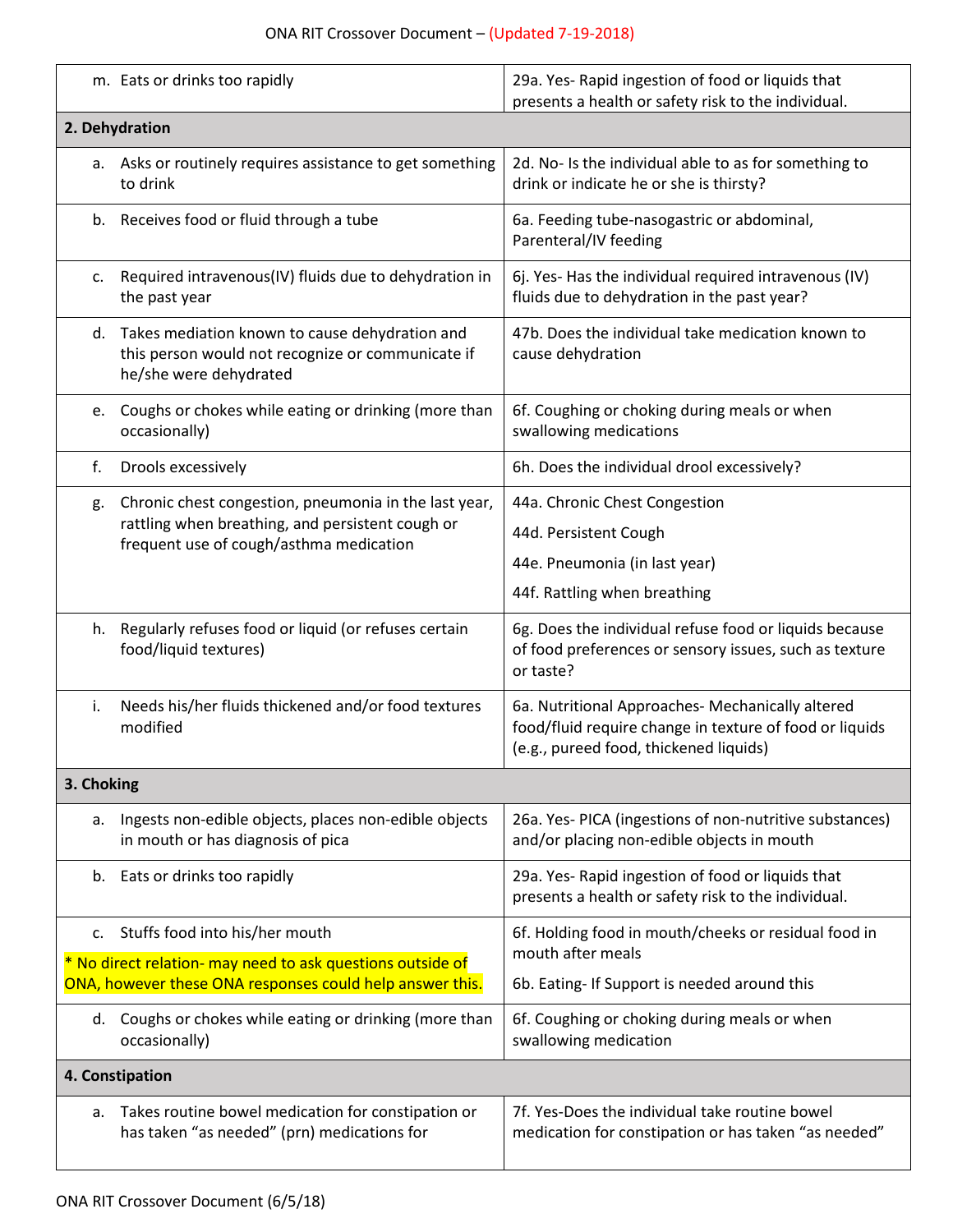## ONA RIT Crossover Document – (Updated 7-19-2018)

|                                                                                                                        | m. Eats or drinks too rapidly                                                                                                    | 29a. Yes-Rapid ingestion of food or liquids that<br>presents a health or safety risk to the individual.                                               |  |  |
|------------------------------------------------------------------------------------------------------------------------|----------------------------------------------------------------------------------------------------------------------------------|-------------------------------------------------------------------------------------------------------------------------------------------------------|--|--|
| 2. Dehydration                                                                                                         |                                                                                                                                  |                                                                                                                                                       |  |  |
|                                                                                                                        | a. Asks or routinely requires assistance to get something<br>to drink                                                            | 2d. No- Is the individual able to as for something to<br>drink or indicate he or she is thirsty?                                                      |  |  |
|                                                                                                                        | b. Receives food or fluid through a tube                                                                                         | 6a. Feeding tube-nasogastric or abdominal,<br>Parenteral/IV feeding                                                                                   |  |  |
| c.                                                                                                                     | Required intravenous(IV) fluids due to dehydration in<br>the past year                                                           | 6j. Yes- Has the individual required intravenous (IV)<br>fluids due to dehydration in the past year?                                                  |  |  |
|                                                                                                                        | d. Takes mediation known to cause dehydration and<br>this person would not recognize or communicate if<br>he/she were dehydrated | 47b. Does the individual take medication known to<br>cause dehydration                                                                                |  |  |
| e.                                                                                                                     | Coughs or chokes while eating or drinking (more than<br>occasionally)                                                            | 6f. Coughing or choking during meals or when<br>swallowing medications                                                                                |  |  |
| f.                                                                                                                     | Drools excessively                                                                                                               | 6h. Does the individual drool excessively?                                                                                                            |  |  |
| g.                                                                                                                     | Chronic chest congestion, pneumonia in the last year,                                                                            | 44a. Chronic Chest Congestion                                                                                                                         |  |  |
|                                                                                                                        | rattling when breathing, and persistent cough or<br>frequent use of cough/asthma medication                                      | 44d. Persistent Cough                                                                                                                                 |  |  |
|                                                                                                                        |                                                                                                                                  | 44e. Pneumonia (in last year)                                                                                                                         |  |  |
|                                                                                                                        |                                                                                                                                  | 44f. Rattling when breathing                                                                                                                          |  |  |
| h.                                                                                                                     | Regularly refuses food or liquid (or refuses certain<br>food/liquid textures)                                                    | 6g. Does the individual refuse food or liquids because<br>of food preferences or sensory issues, such as texture<br>or taste?                         |  |  |
| i.                                                                                                                     | Needs his/her fluids thickened and/or food textures<br>modified                                                                  | 6a. Nutritional Approaches- Mechanically altered<br>food/fluid require change in texture of food or liquids<br>(e.g., pureed food, thickened liquids) |  |  |
| 3. Choking                                                                                                             |                                                                                                                                  |                                                                                                                                                       |  |  |
| а.                                                                                                                     | Ingests non-edible objects, places non-edible objects<br>in mouth or has diagnosis of pica                                       | 26a. Yes- PICA (ingestions of non-nutritive substances)<br>and/or placing non-edible objects in mouth                                                 |  |  |
| b.                                                                                                                     | Eats or drinks too rapidly                                                                                                       | 29a. Yes-Rapid ingestion of food or liquids that<br>presents a health or safety risk to the individual.                                               |  |  |
| c.                                                                                                                     | Stuffs food into his/her mouth                                                                                                   | 6f. Holding food in mouth/cheeks or residual food in                                                                                                  |  |  |
| * No direct relation- may need to ask questions outside of<br>ONA, however these ONA responses could help answer this. |                                                                                                                                  | mouth after meals<br>6b. Eating- If Support is needed around this                                                                                     |  |  |
|                                                                                                                        | d. Coughs or chokes while eating or drinking (more than<br>occasionally)                                                         | 6f. Coughing or choking during meals or when<br>swallowing medication                                                                                 |  |  |
| 4. Constipation                                                                                                        |                                                                                                                                  |                                                                                                                                                       |  |  |
| а.                                                                                                                     | Takes routine bowel medication for constipation or<br>has taken "as needed" (prn) medications for                                | 7f. Yes-Does the individual take routine bowel<br>medication for constipation or has taken "as needed"                                                |  |  |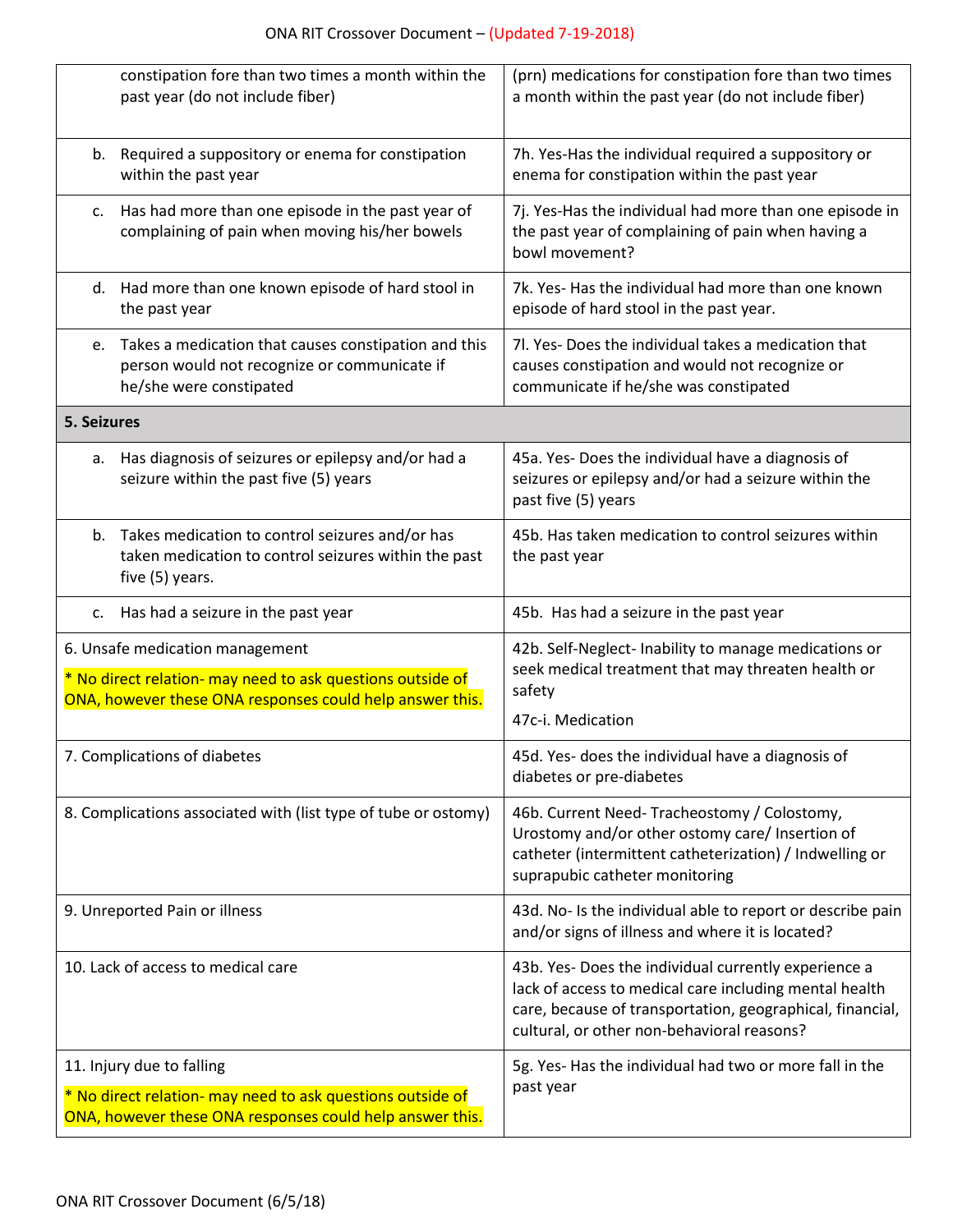|                                                                                                                                                           | constipation fore than two times a month within the<br>past year (do not include fiber)                                            | (prn) medications for constipation fore than two times<br>a month within the past year (do not include fiber)                                                                                                             |
|-----------------------------------------------------------------------------------------------------------------------------------------------------------|------------------------------------------------------------------------------------------------------------------------------------|---------------------------------------------------------------------------------------------------------------------------------------------------------------------------------------------------------------------------|
|                                                                                                                                                           | b. Required a suppository or enema for constipation<br>within the past year                                                        | 7h. Yes-Has the individual required a suppository or<br>enema for constipation within the past year                                                                                                                       |
| c.                                                                                                                                                        | Has had more than one episode in the past year of<br>complaining of pain when moving his/her bowels                                | 7j. Yes-Has the individual had more than one episode in<br>the past year of complaining of pain when having a<br>bowl movement?                                                                                           |
|                                                                                                                                                           | d. Had more than one known episode of hard stool in<br>the past year                                                               | 7k. Yes- Has the individual had more than one known<br>episode of hard stool in the past year.                                                                                                                            |
|                                                                                                                                                           | e. Takes a medication that causes constipation and this<br>person would not recognize or communicate if<br>he/she were constipated | 7l. Yes-Does the individual takes a medication that<br>causes constipation and would not recognize or<br>communicate if he/she was constipated                                                                            |
| 5. Seizures                                                                                                                                               |                                                                                                                                    |                                                                                                                                                                                                                           |
|                                                                                                                                                           | a. Has diagnosis of seizures or epilepsy and/or had a<br>seizure within the past five (5) years                                    | 45a. Yes- Does the individual have a diagnosis of<br>seizures or epilepsy and/or had a seizure within the<br>past five (5) years                                                                                          |
|                                                                                                                                                           | b. Takes medication to control seizures and/or has<br>taken medication to control seizures within the past<br>five (5) years.      | 45b. Has taken medication to control seizures within<br>the past year                                                                                                                                                     |
|                                                                                                                                                           | c. Has had a seizure in the past year                                                                                              | 45b. Has had a seizure in the past year                                                                                                                                                                                   |
| 6. Unsafe medication management<br>* No direct relation- may need to ask questions outside of<br>ONA, however these ONA responses could help answer this. |                                                                                                                                    | 42b. Self-Neglect- Inability to manage medications or<br>seek medical treatment that may threaten health or<br>safety                                                                                                     |
|                                                                                                                                                           |                                                                                                                                    | 47c-i. Medication                                                                                                                                                                                                         |
| 7. Complications of diabetes                                                                                                                              |                                                                                                                                    | 45d. Yes- does the individual have a diagnosis of<br>diabetes or pre-diabetes                                                                                                                                             |
| 8. Complications associated with (list type of tube or ostomy)                                                                                            |                                                                                                                                    | 46b. Current Need-Tracheostomy / Colostomy,<br>Urostomy and/or other ostomy care/ Insertion of<br>catheter (intermittent catheterization) / Indwelling or<br>suprapubic catheter monitoring                               |
| 9. Unreported Pain or illness                                                                                                                             |                                                                                                                                    | 43d. No- Is the individual able to report or describe pain<br>and/or signs of illness and where it is located?                                                                                                            |
| 10. Lack of access to medical care                                                                                                                        |                                                                                                                                    | 43b. Yes- Does the individual currently experience a<br>lack of access to medical care including mental health<br>care, because of transportation, geographical, financial,<br>cultural, or other non-behavioral reasons? |
| 11. Injury due to falling                                                                                                                                 |                                                                                                                                    | 5g. Yes- Has the individual had two or more fall in the<br>past year                                                                                                                                                      |
| * No direct relation- may need to ask questions outside of<br>ONA, however these ONA responses could help answer this.                                    |                                                                                                                                    |                                                                                                                                                                                                                           |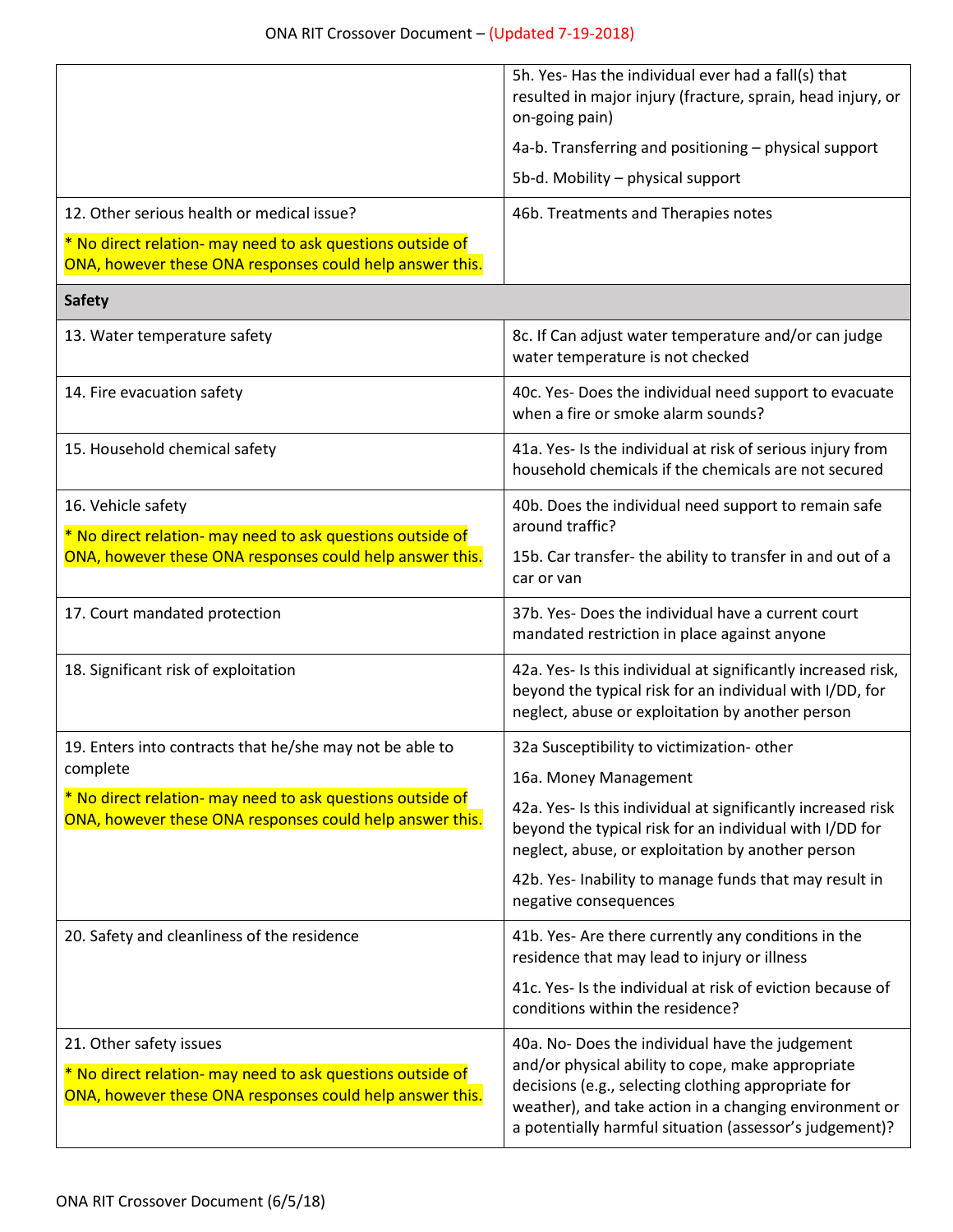|                                                                                                                                                   | 5h. Yes- Has the individual ever had a fall(s) that<br>resulted in major injury (fracture, sprain, head injury, or<br>on-going pain)                                                                                                                                            |
|---------------------------------------------------------------------------------------------------------------------------------------------------|---------------------------------------------------------------------------------------------------------------------------------------------------------------------------------------------------------------------------------------------------------------------------------|
|                                                                                                                                                   | 4a-b. Transferring and positioning - physical support                                                                                                                                                                                                                           |
|                                                                                                                                                   | 5b-d. Mobility - physical support                                                                                                                                                                                                                                               |
| 12. Other serious health or medical issue?                                                                                                        | 46b. Treatments and Therapies notes                                                                                                                                                                                                                                             |
| * No direct relation- may need to ask questions outside of<br>ONA, however these ONA responses could help answer this.                            |                                                                                                                                                                                                                                                                                 |
| <b>Safety</b>                                                                                                                                     |                                                                                                                                                                                                                                                                                 |
| 13. Water temperature safety                                                                                                                      | 8c. If Can adjust water temperature and/or can judge<br>water temperature is not checked                                                                                                                                                                                        |
| 14. Fire evacuation safety                                                                                                                        | 40c. Yes- Does the individual need support to evacuate<br>when a fire or smoke alarm sounds?                                                                                                                                                                                    |
| 15. Household chemical safety                                                                                                                     | 41a. Yes- Is the individual at risk of serious injury from<br>household chemicals if the chemicals are not secured                                                                                                                                                              |
| 16. Vehicle safety<br>* No direct relation- may need to ask questions outside of                                                                  | 40b. Does the individual need support to remain safe<br>around traffic?                                                                                                                                                                                                         |
| ONA, however these ONA responses could help answer this.                                                                                          | 15b. Car transfer- the ability to transfer in and out of a<br>car or van                                                                                                                                                                                                        |
| 17. Court mandated protection                                                                                                                     | 37b. Yes-Does the individual have a current court<br>mandated restriction in place against anyone                                                                                                                                                                               |
| 18. Significant risk of exploitation                                                                                                              | 42a. Yes- Is this individual at significantly increased risk,<br>beyond the typical risk for an individual with I/DD, for<br>neglect, abuse or exploitation by another person                                                                                                   |
| 19. Enters into contracts that he/she may not be able to                                                                                          | 32a Susceptibility to victimization- other                                                                                                                                                                                                                                      |
| complete                                                                                                                                          | 16a. Money Management                                                                                                                                                                                                                                                           |
| * No direct relation- may need to ask questions outside of<br>ONA, however these ONA responses could help answer this.                            | 42a. Yes- Is this individual at significantly increased risk<br>beyond the typical risk for an individual with I/DD for<br>neglect, abuse, or exploitation by another person                                                                                                    |
|                                                                                                                                                   | 42b. Yes- Inability to manage funds that may result in<br>negative consequences                                                                                                                                                                                                 |
| 20. Safety and cleanliness of the residence                                                                                                       | 41b. Yes- Are there currently any conditions in the<br>residence that may lead to injury or illness                                                                                                                                                                             |
|                                                                                                                                                   | 41c. Yes- Is the individual at risk of eviction because of<br>conditions within the residence?                                                                                                                                                                                  |
| 21. Other safety issues<br>* No direct relation- may need to ask questions outside of<br>ONA, however these ONA responses could help answer this. | 40a. No-Does the individual have the judgement<br>and/or physical ability to cope, make appropriate<br>decisions (e.g., selecting clothing appropriate for<br>weather), and take action in a changing environment or<br>a potentially harmful situation (assessor's judgement)? |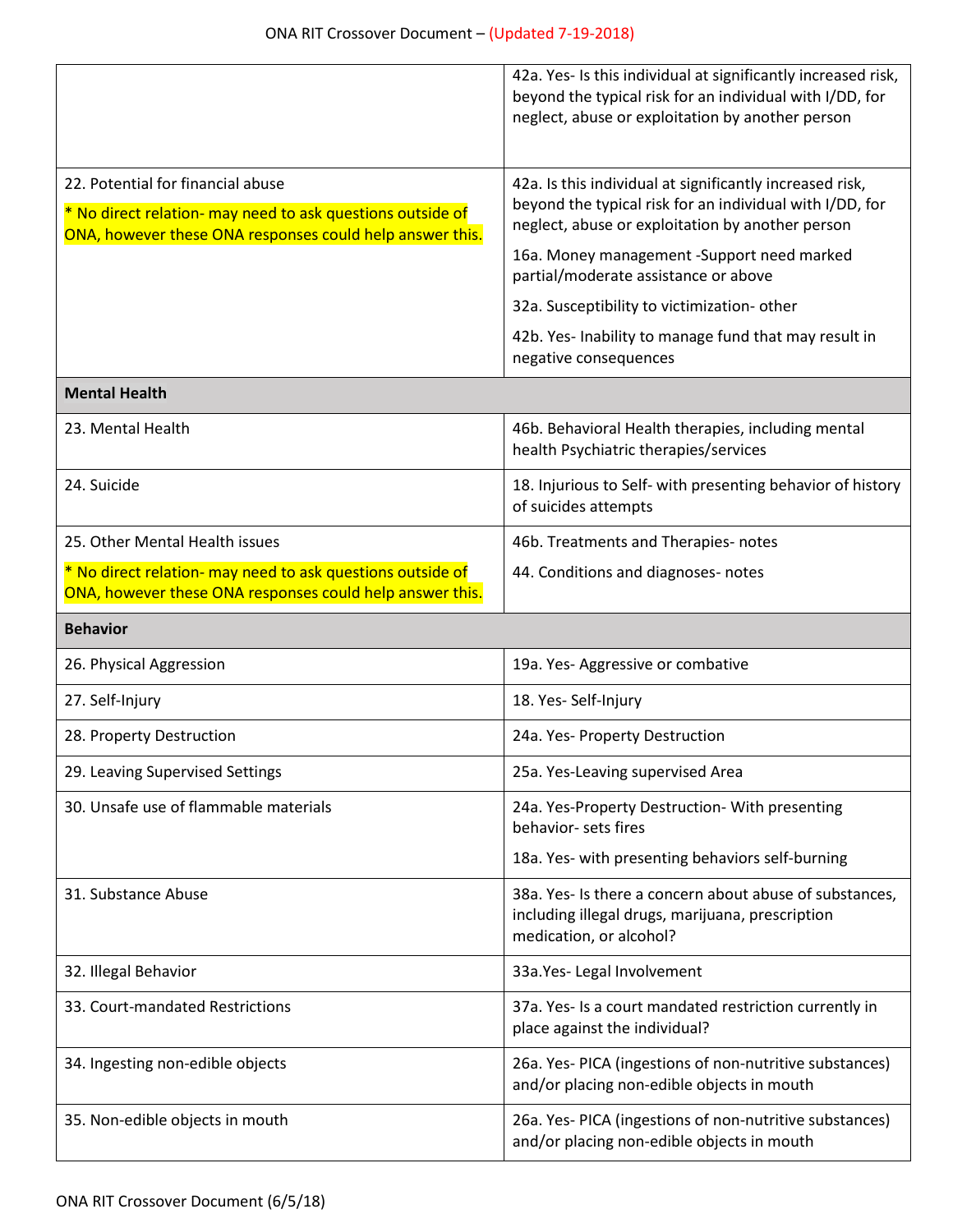|                                                                                                                                                             | 42a. Yes- Is this individual at significantly increased risk,<br>beyond the typical risk for an individual with I/DD, for<br>neglect, abuse or exploitation by another person |  |
|-------------------------------------------------------------------------------------------------------------------------------------------------------------|-------------------------------------------------------------------------------------------------------------------------------------------------------------------------------|--|
| 22. Potential for financial abuse<br>* No direct relation- may need to ask questions outside of<br>ONA, however these ONA responses could help answer this. | 42a. Is this individual at significantly increased risk,<br>beyond the typical risk for an individual with I/DD, for<br>neglect, abuse or exploitation by another person      |  |
|                                                                                                                                                             | 16a. Money management -Support need marked<br>partial/moderate assistance or above                                                                                            |  |
|                                                                                                                                                             | 32a. Susceptibility to victimization-other                                                                                                                                    |  |
|                                                                                                                                                             | 42b. Yes- Inability to manage fund that may result in<br>negative consequences                                                                                                |  |
| <b>Mental Health</b>                                                                                                                                        |                                                                                                                                                                               |  |
| 23. Mental Health                                                                                                                                           | 46b. Behavioral Health therapies, including mental<br>health Psychiatric therapies/services                                                                                   |  |
| 24. Suicide                                                                                                                                                 | 18. Injurious to Self- with presenting behavior of history<br>of suicides attempts                                                                                            |  |
| 25. Other Mental Health issues                                                                                                                              | 46b. Treatments and Therapies- notes                                                                                                                                          |  |
| * No direct relation- may need to ask questions outside of<br>ONA, however these ONA responses could help answer this.                                      | 44. Conditions and diagnoses- notes                                                                                                                                           |  |
| <b>Behavior</b>                                                                                                                                             |                                                                                                                                                                               |  |
|                                                                                                                                                             |                                                                                                                                                                               |  |
| 26. Physical Aggression                                                                                                                                     | 19a. Yes- Aggressive or combative                                                                                                                                             |  |
| 27. Self-Injury                                                                                                                                             | 18. Yes-Self-Injury                                                                                                                                                           |  |
| 28. Property Destruction                                                                                                                                    | 24a. Yes- Property Destruction                                                                                                                                                |  |
| 29. Leaving Supervised Settings                                                                                                                             | 25a. Yes-Leaving supervised Area                                                                                                                                              |  |
| 30. Unsafe use of flammable materials                                                                                                                       | 24a. Yes-Property Destruction- With presenting<br>behavior- sets fires                                                                                                        |  |
|                                                                                                                                                             | 18a. Yes- with presenting behaviors self-burning                                                                                                                              |  |
| 31. Substance Abuse                                                                                                                                         | 38a. Yes- Is there a concern about abuse of substances,<br>including illegal drugs, marijuana, prescription<br>medication, or alcohol?                                        |  |
| 32. Illegal Behavior                                                                                                                                        | 33a. Yes- Legal Involvement                                                                                                                                                   |  |
| 33. Court-mandated Restrictions                                                                                                                             | 37a. Yes- Is a court mandated restriction currently in<br>place against the individual?                                                                                       |  |
| 34. Ingesting non-edible objects                                                                                                                            | 26a. Yes- PICA (ingestions of non-nutritive substances)<br>and/or placing non-edible objects in mouth                                                                         |  |